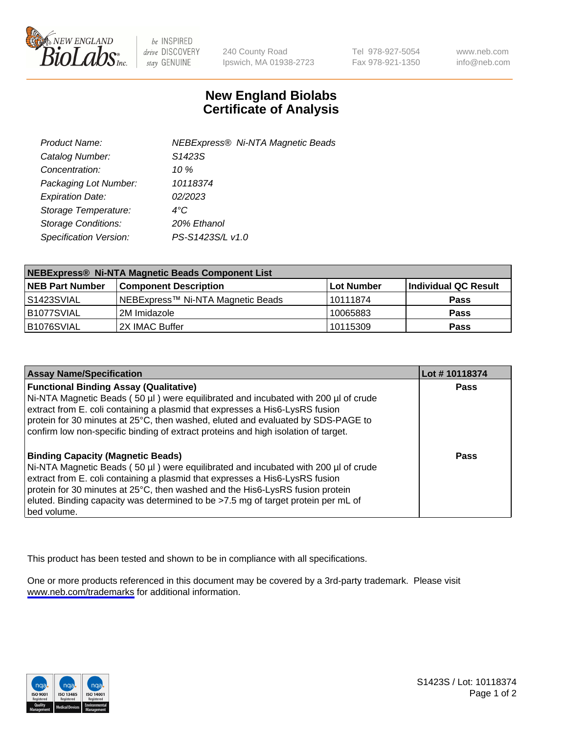

be INSPIRED drive DISCOVERY stay GENUINE

240 County Road Ipswich, MA 01938-2723 Tel 978-927-5054 Fax 978-921-1350

www.neb.com info@neb.com

## **New England Biolabs Certificate of Analysis**

| NEBExpress® Ni-NTA Magnetic Beads |
|-----------------------------------|
|                                   |
|                                   |
|                                   |
|                                   |
|                                   |
|                                   |
|                                   |
|                                   |

| NEBExpress® Ni-NTA Magnetic Beads Component List |                                   |                   |                      |  |
|--------------------------------------------------|-----------------------------------|-------------------|----------------------|--|
| <b>NEB Part Number</b>                           | <b>Component Description</b>      | <b>Lot Number</b> | Individual QC Result |  |
| l S1423SVIAL                                     | NEBExpress™ Ni-NTA Magnetic Beads | l 10111874        | <b>Pass</b>          |  |
| B1077SVIAL                                       | l 2M Imidazole.                   | 10065883          | <b>Pass</b>          |  |
| B1076SVIAL                                       | 2X IMAC Buffer                    | 10115309          | <b>Pass</b>          |  |

| <b>Assay Name/Specification</b>                                                                                                                                                                                                                                                                                                                                                                     | Lot #10118374 |
|-----------------------------------------------------------------------------------------------------------------------------------------------------------------------------------------------------------------------------------------------------------------------------------------------------------------------------------------------------------------------------------------------------|---------------|
| <b>Functional Binding Assay (Qualitative)</b><br>Ni-NTA Magnetic Beads (50 µl) were equilibrated and incubated with 200 µl of crude<br>extract from E. coli containing a plasmid that expresses a His6-LysRS fusion<br>protein for 30 minutes at 25°C, then washed, eluted and evaluated by SDS-PAGE to<br>confirm low non-specific binding of extract proteins and high isolation of target.       | <b>Pass</b>   |
| <b>Binding Capacity (Magnetic Beads)</b><br>Ni-NTA Magnetic Beads (50 µl) were equilibrated and incubated with 200 µl of crude<br>extract from E. coli containing a plasmid that expresses a His6-LysRS fusion<br>protein for 30 minutes at 25°C, then washed and the His6-LysRS fusion protein<br>eluted. Binding capacity was determined to be >7.5 mg of target protein per mL of<br>bed volume. | Pass          |

This product has been tested and shown to be in compliance with all specifications.

One or more products referenced in this document may be covered by a 3rd-party trademark. Please visit <www.neb.com/trademarks>for additional information.